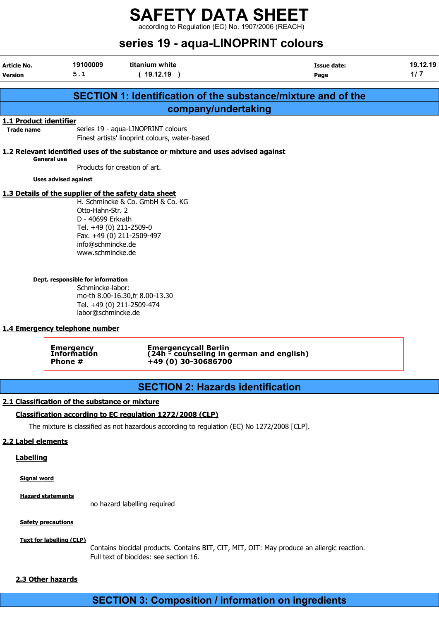according to Regulation (EC) No. 1907/2006 (REACH)

|                                             |                                                                                                                                                                                                                                                                                    |                                                                                                                                                          | series 19 - aqua-LINOPRINT colours                                   |                   |
|---------------------------------------------|------------------------------------------------------------------------------------------------------------------------------------------------------------------------------------------------------------------------------------------------------------------------------------|----------------------------------------------------------------------------------------------------------------------------------------------------------|----------------------------------------------------------------------|-------------------|
| <b>Article No.</b><br><b>Version</b>        | 19100009<br>5.1                                                                                                                                                                                                                                                                    | titanium white<br>(19.12.19)                                                                                                                             | <b>Issue date:</b><br>Page                                           | 19.12.19<br>$1/7$ |
|                                             |                                                                                                                                                                                                                                                                                    |                                                                                                                                                          | <b>SECTION 1: Identification of the substance/mixture and of the</b> |                   |
|                                             |                                                                                                                                                                                                                                                                                    |                                                                                                                                                          | company/undertaking                                                  |                   |
| 1.1 Product identifier<br><b>Trade name</b> |                                                                                                                                                                                                                                                                                    | series 19 - aqua-LINOPRINT colours<br>Finest artists' linoprint colours, water-based                                                                     |                                                                      |                   |
|                                             |                                                                                                                                                                                                                                                                                    | 1.2 Relevant identified uses of the substance or mixture and uses advised against                                                                        |                                                                      |                   |
|                                             | <b>General use</b>                                                                                                                                                                                                                                                                 | Products for creation of art.                                                                                                                            |                                                                      |                   |
|                                             | <b>Uses advised against</b>                                                                                                                                                                                                                                                        |                                                                                                                                                          |                                                                      |                   |
|                                             | 1.3 Details of the supplier of the safety data sheet<br>Otto-Hahn-Str. 2<br>D - 40699 Erkrath<br>Tel. +49 (0) 211-2509-0<br>info@schmincke.de<br>www.schmincke.de<br>Dept. responsible for information<br>Schmincke-labor:<br>labor@schmincke.de<br>1.4 Emergency telephone number | H. Schmincke & Co. GmbH & Co. KG<br>Fax. +49 (0) 211-2509-497<br>mo-th 8.00-16.30, fr 8.00-13.30<br>Tel. +49 (0) 211-2509-474                            |                                                                      |                   |
|                                             | Emergency<br>Information<br>Phone #                                                                                                                                                                                                                                                | +49 (0) 30-30686700                                                                                                                                      | Emergencycall Berlin<br>(24h - counseling in german and english)     |                   |
|                                             |                                                                                                                                                                                                                                                                                    |                                                                                                                                                          | <b>SECTION 2: Hazards identification</b>                             |                   |
| 2.2 Label elements<br><b>Labelling</b>      | 2.1 Classification of the substance or mixture                                                                                                                                                                                                                                     | Classification according to EC regulation 1272/2008 (CLP)<br>The mixture is classified as not hazardous according to regulation (EC) No 1272/2008 [CLP]. |                                                                      |                   |

Signal word

Hazard statements

no hazard labelling required

#### **Safety precautions**

#### Text for labelling (CLP)

Contains biocidal products. Contains BIT, CIT, MIT, OIT: May produce an allergic reaction. Full text of biocides: see section 16.

#### 2.3 Other hazards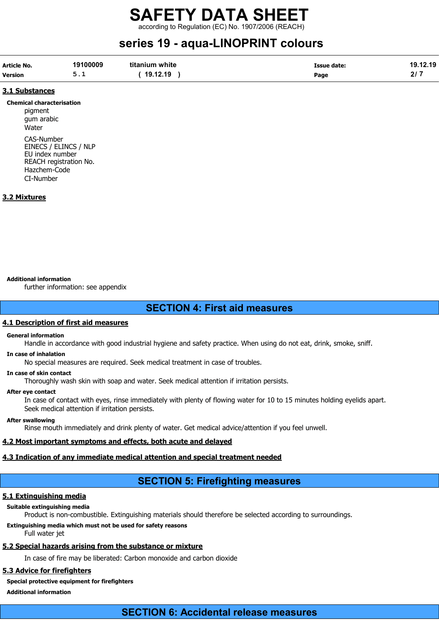rding to Regulation (EC) No. 1907/2006 (REACH)

## series 19 - aqua-LINOPRINT colours

| <b>Article No.</b> | 19100009 | titanium white | <b>Issue date:</b> | 19.12.19 |
|--------------------|----------|----------------|--------------------|----------|
| <b>Version</b>     | <u>.</u> | 19.12.19       | Page               |          |

#### 3.1 Substances

Chemical characterisation pigment gum arabic Water CAS-Number EINECS / ELINCS / NLP EU index number REACH registration No. Hazchem-Code CI-Number

#### 3.2 Mixtures

#### Additional information

further information: see appendix

#### SECTION 4: First aid measures

#### 4.1 Description of first aid measures

#### General information

Handle in accordance with good industrial hygiene and safety practice. When using do not eat, drink, smoke, sniff.

#### In case of inhalation

No special measures are required. Seek medical treatment in case of troubles.

#### In case of skin contact

Thoroughly wash skin with soap and water. Seek medical attention if irritation persists.

#### After eye contact

In case of contact with eyes, rinse immediately with plenty of flowing water for 10 to 15 minutes holding eyelids apart. Seek medical attention if irritation persists.

#### After swallowing

Rinse mouth immediately and drink plenty of water. Get medical advice/attention if you feel unwell.

#### 4.2 Most important symptoms and effects, both acute and delayed

#### 4.3 Indication of any immediate medical attention and special treatment needed

### SECTION 5: Firefighting measures

#### 5.1 Extinguishing media

#### Suitable extinguishing media

Product is non-combustible. Extinguishing materials should therefore be selected according to surroundings.

#### Extinguishing media which must not be used for safety reasons

Full water jet

#### 5.2 Special hazards arising from the substance or mixture

In case of fire may be liberated: Carbon monoxide and carbon dioxide

#### 5.3 Advice for firefighters

#### Special protective equipment for firefighters

Additional information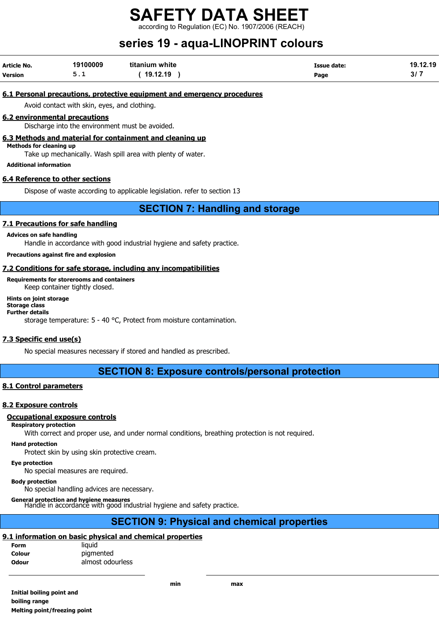ding to Regulation (EC) No. 1907/2006 (REACH)

## series 19 - aqua-LINOPRINT colours

| Article No.    | 19100009 | titanium white | <b>Issue date:</b> | 19.12.19 |
|----------------|----------|----------------|--------------------|----------|
| <b>Version</b> | <u>.</u> | 19.12.19       | Page               | 3/7      |

#### 6.1 Personal precautions, protective equipment and emergency procedures

Avoid contact with skin, eyes, and clothing.

#### 6.2 environmental precautions

Discharge into the environment must be avoided.

6.3 Methods and material for containment and cleaning up

Methods for cleaning up

Take up mechanically. Wash spill area with plenty of water.

Additional information

#### 6.4 Reference to other sections

Dispose of waste according to applicable legislation. refer to section 13

#### SECTION 7: Handling and storage

#### 7.1 Precautions for safe handling

#### Advices on safe handling

Handle in accordance with good industrial hygiene and safety practice.

Precautions against fire and explosion

#### 7.2 Conditions for safe storage, including any incompatibilities

Requirements for storerooms and containers

Keep container tightly closed.

#### Hints on joint storage

#### Storage class Further details

storage temperature: 5 - 40 °C, Protect from moisture contamination.

#### 7.3 Specific end use(s)

No special measures necessary if stored and handled as prescribed.

#### SECTION 8: Exposure controls/personal protection

#### 8.1 Control parameters

#### 8.2 Exposure controls

#### Occupational exposure controls

#### Respiratory protection

With correct and proper use, and under normal conditions, breathing protection is not required.

#### Hand protection

Protect skin by using skin protective cream.

Eye protection

No special measures are required.

#### Body protection

No special handling advices are necessary.

#### General protection and hygiene measures

Handle in accordance with good industrial hygiene and safety practice.

#### SECTION 9: Physical and chemical properties

#### 9.1 information on basic physical and chemical properties

| <b>Form</b>  | liauid           |
|--------------|------------------|
| Colour       | pigmented        |
| <b>Odour</b> | almost odourless |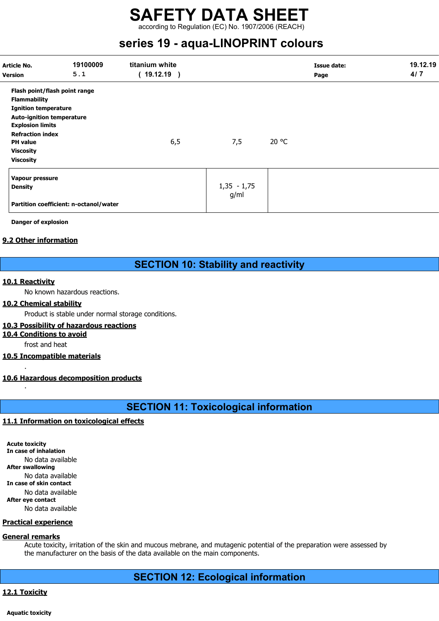according to Regulation (EC) No. 1907/2006 (REACH)

## series 19 - aqua-LINOPRINT colours

| Article No.<br><b>Version</b>                                                                                                                                                                                                            | 19100009<br>5.1                        | titanium white<br>(19.12.19) |                       |       | <b>Issue date:</b><br>Page | 19.12.19<br>4/7 |
|------------------------------------------------------------------------------------------------------------------------------------------------------------------------------------------------------------------------------------------|----------------------------------------|------------------------------|-----------------------|-------|----------------------------|-----------------|
| Flash point/flash point range<br><b>Flammability</b><br><b>Ignition temperature</b><br><b>Auto-ignition temperature</b><br><b>Explosion limits</b><br><b>Refraction index</b><br><b>PH</b> value<br><b>Viscosity</b><br><b>Viscosity</b> |                                        | 6,5                          | 7,5                   | 20 °C |                            |                 |
| Vapour pressure<br><b>Density</b>                                                                                                                                                                                                        | Partition coefficient: n-octanol/water |                              | $1,35 - 1,75$<br>g/ml |       |                            |                 |

Danger of explosion

#### 9.2 Other information

#### SECTION 10: Stability and reactivity

#### 10.1 Reactivity

.

.

No known hazardous reactions.

#### 10.2 Chemical stability

Product is stable under normal storage conditions.

#### 10.3 Possibility of hazardous reactions

10.4 Conditions to avoid

frost and heat

#### 10.5 Incompatible materials

#### 10.6 Hazardous decomposition products

### SECTION 11: Toxicological information

#### 11.1 Information on toxicological effects

Acute toxicity In case of inhalation No data available After swallowing No data available In case of skin contact No data available After eye contact No data available

#### Practical experience

#### General remarks

Acute toxicity, irritation of the skin and mucous mebrane, and mutagenic potential of the preparation were assessed by the manufacturer on the basis of the data available on the main components.

#### SECTION 12: Ecological information

#### 12.1 Toxicity

Aquatic toxicity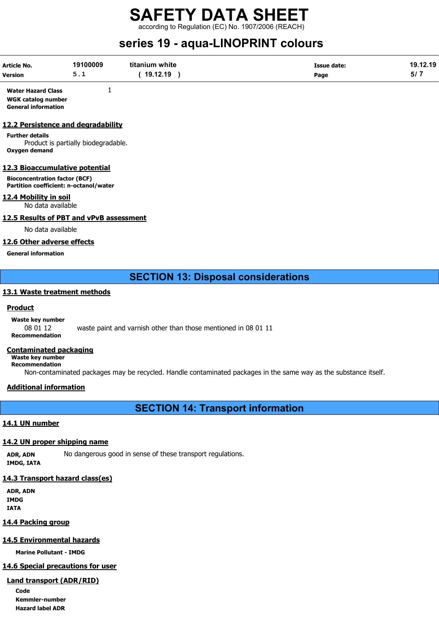according to Regulation (EC) No. 1907/2006 (REACH)

## series 19 - aqua-LINOPRINT colours

| <b>Article No.</b> | 19100009   | titanium white | Issue date: | 19.12.19 |
|--------------------|------------|----------------|-------------|----------|
| <b>Version</b>     | <u>J.L</u> | 19.12.19       | Page        | ວ⊭       |

Water Hazard Class 1 WGK catalog number General information

#### 12.2 Persistence and degradability

Further details Product is partially biodegradable. Oxygen demand

#### 12.3 Bioaccumulative potential

Bioconcentration factor (BCF) Partition coefficient: n-octanol/water

#### 12.4 Mobility in soil

No data available

#### 12.5 Results of PBT and vPvB assessment

No data available

#### 12.6 Other adverse effects

General information

#### SECTION 13: Disposal considerations

#### 13.1 Waste treatment methods

#### **Product**

Waste key number

08 01 12 waste paint and varnish other than those mentioned in 08 01 11 Recommendation

#### Contaminated packaging

Waste key number Recommendation

Non-contaminated packages may be recycled. Handle contaminated packages in the same way as the substance itself.

#### Additional information

SECTION 14: Transport information

#### 14.1 UN number

#### 14.2 UN proper shipping name

ADR, ADN No dangerous good in sense of these transport regulations. IMDG, IATA

#### 14.3 Transport hazard class(es)

ADR, ADN IMDG IATA

#### 14.4 Packing group

#### 14.5 Environmental hazards

Marine Pollutant - IMDG

#### 14.6 Special precautions for user

#### Land transport (ADR/RID)

Code Kemmler-number Hazard label ADR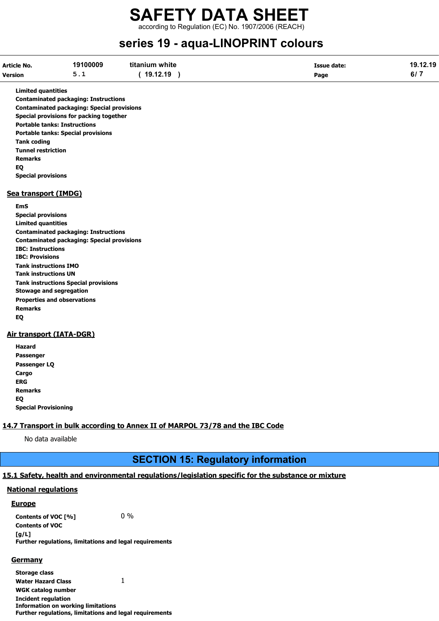### SAFETY DATA SHEET according to Regulation (EC) No. 1907/2006 (REACH)

## series 19 - aqua-LINOPRINT colours

| <b>Article No.</b> | 19100009      | titanium white | <b>Issue date:</b> | 19.12.19 |
|--------------------|---------------|----------------|--------------------|----------|
| <b>Version</b>     | <u>- - - </u> | 19.12.19       | Page               | י וס     |

Limited quantities

Contaminated packaging: Instructions Contaminated packaging: Special provisions Special provisions for packing together Portable tanks: Instructions Portable tanks: Special provisions Tank coding Tunnel restriction Remarks EQ Special provisions

#### Sea transport (IMDG)

EmS Special provisions Limited quantities Contaminated packaging: Instructions Contaminated packaging: Special provisions IBC: Instructions IBC: Provisions Tank instructions IMO Tank instructions UN Tank instructions Special provisions Stowage and segregation Properties and observations Remarks EQ

#### Air transport (IATA-DGR)

Hazard Passenger Passenger LQ **Cargo** ERG Remarks EQ Special Provisioning

#### 14.7 Transport in bulk according to Annex II of MARPOL 73/78 and the IBC Code

No data available

#### SECTION 15: Regulatory information

#### 15.1 Safety, health and environmental regulations/legislation specific for the substance or mixture

#### National regulations

#### **Europe**

Contents of VOC  $[\%]$  0 % Contents of VOC  $[a/L]$ Further regulations, limitations and legal requirements

#### **Germany**

Storage class Water Hazard Class 1

WGK catalog number

Incident regulation Information on working limitations Further regulations, limitations and legal requirements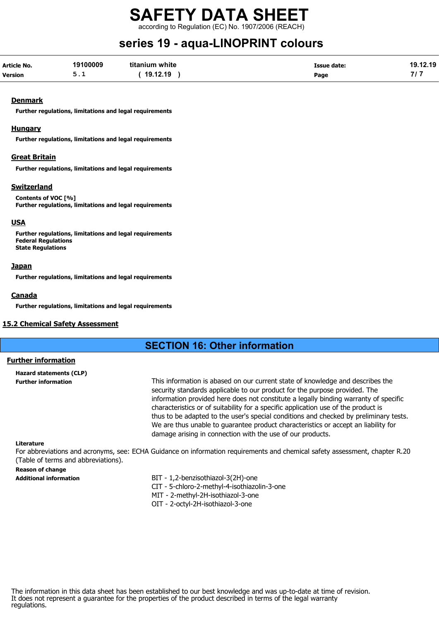according to Regulation (EC) No. 1907/2006 (REACH)

## series 19 - aqua-LINOPRINT colours

| Article No.    | 19100009 | titanium white | Issue date: | 19.12.19 |
|----------------|----------|----------------|-------------|----------|
| <b>Version</b> | <u>.</u> | 19.12.19       | Page        |          |

#### **Denmark**

Further regulations, limitations and legal requirements

#### Hungary

Further regulations, limitations and legal requirements

#### Great Britain

Further regulations, limitations and legal requirements

#### Switzerland

Contents of VOC [%] Further regulations, limitations and legal requirements

#### USA

Further regulations, limitations and legal requirements Federal Regulations State Regulations

#### **Japan**

Further regulations, limitations and legal requirements

#### **Canada**

Further regulations, limitations and legal requirements

#### 15.2 Chemical Safety Assessment

#### SECTION 16: Other information

#### Further information

Hazard statements (CLP)

Further information This information is abased on our current state of knowledge and describes the security standards applicable to our product for the purpose provided. The information provided here does not constitute a legally binding warranty of specific characteristics or of suitability for a specific application use of the product is thus to be adapted to the user's special conditions and checked by preliminary tests. We are thus unable to guarantee product characteristics or accept an liability for damage arising in connection with the use of our products.

#### Literature

For abbreviations and acronyms, see: ECHA Guidance on information requirements and chemical safety assessment, chapter R.20 (Table of terms and abbreviations).

#### Reason of change

- Additional information BIT 1,2-benzisothiazol-3(2H)-one
	- CIT 5-chloro-2-methyl-4-isothiazolin-3-one
	- MIT 2-methyl-2H-isothiazol-3-one
	- OIT 2-octyl-2H-isothiazol-3-one